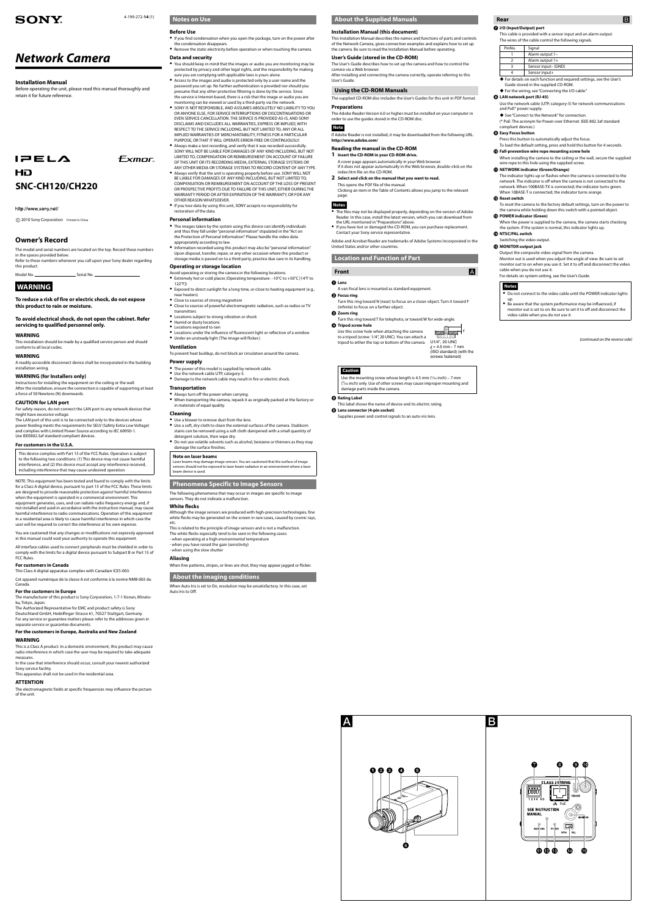4-199-272-**14** (1)

**Exmor** 

# **SONY**

# *Network Camera*

#### **Installation Manual**

 $IPELA$ HD **SNC-CH120/CH220**

http://www.sony.net/

Before operating the unit, please read this manual thoroughly and retain it for future reference.

### **Owner's Record**

The model and serial numbers are located on the top. Record these numbers in the spaces provided below. Refer to these numbers whenever you call upon your Sony dealer regarding this product.

Model No. Serial No.

### **WARNING**

**To reduce a risk of fire or electric shock, do not expose this product to rain or moisture.**

**To avoid electrical shock, do not open the cabinet. Refer servicing to qualified personnel only.** 

#### **WARNING**

This installation should be made by a qualified service person and should conform to all local codes.

#### **WARNING**

A readily accessible disconnect device shall be incorporated in the building installation wiring.

#### **WARNING (for Installers only)**

Instructions for installing the equipment on the ceiling or the wall: After the installation, ensure the connection is capable of supporting at least a force of 50 Newtons (N) downwards.

#### **CAUTION for LAN port**

For safety reason, do not connect the LAN port to any network devices that might have excessive voltage. The LAN port of this unit is to be connected only to the devices whose

power feeding meets the requirements for SELV (Safety Extra Low Voltage) and complies with Limited Power Source according to IEC 60950-1. Use IEEE802.3af standard compliant devices.

#### **For customers in the U.S.A.**

This device complies with Part 15 of the FCC Rules. Operation is subject to the following two conditions: (1) This device may not cause harmful interference, and (2) this device must accept any interference received, including interference that may cause undesired operation.

NOTE: This equipment has been tested and found to comply with the limits for a Class A digital device, pursuant to part 15 of the FCC Rules. These limits are designed to provide reasonable protection against harmful interference when the equipment is operated in a commercial environment. This equipment generates, uses, and can radiate radio frequency energy and, if not installed and used in accordance with the instruction manual, may cause harmful interference to radio communications. Operation of this equipment in a residential area is likely to cause harmful interference in which case the user will be required to correct the interference at his own expense.

You are cautioned that any changes or modifications not expressly approved in this manual could void your authority to operate this equipment.

All interface cables used to connect peripherals must be shielded in order to comply with the limits for a digital device pursuant to Subpart B or Part 15 of FCC Rules.

#### **For customers in Canada**

This Class A digital apparatus complies with Canadian ICES-003.

Cet appareil numérique de la classe A est conforme à la norme NMB-003 du Canada.

#### **For the customers in Europe**

The manufacturer of this product is Sony Corporation, 1-7-1 Konan, Minatoku, Tokyo, Japan.

The Authorized Representative for EMC and product safety is Sony Deutschland GmbH, Hedelfinger Strasse 61, 70327 Stuttgart, Germany. For any service or guarantee matters please refer to the addresses given in separate service or guarantee documents.

- Avoid operating or storing the camera in the following locations. Extremely hot or cold places (Operating temperature: –10°C to +50°C [14°F to 122°F])
- Exposed to direct sunlight for a long time, or close to heating equipment (e.g., near heaters)
- Close to sources of strong magnetism
- Close to sources of powerful electromagnetic radiation, such as radios or TV transmitters
- Locations subject to strong vibration or shock
- Humid or dusty locations Locations exposed to rain
- Locations under the influence of fluorescent light or reflection of a window • Under an unsteady light (The image will flicker.)

#### **For the customers in Europe, Australia and New Zealand**

#### **WARNING**

This is a Class A product. In a domestic environment, this product may cause radio interference in which case the user may be required to take adequate measures.

In the case that interference should occur, consult your nearest authorized Sony service facility.

This apparatus shall not be used in the residential area.

#### **ATTENTION**

The electromagnetic fields at specific frequencies may influence the picture of the unit.

#### **Notes on Use**

#### **Before Use**

#### **Data and security**

- You should keep in mind that the images or audio you are monitoring may be protected by privacy and other legal rights, and the responsibility for making sure you are complying with applicable laws is yours alone.
- Access to the images and audio is protected only by a user name and the password you set up. No further authentication is provided nor should you presume that any other protective filtering is done by the service. Since the service is Internet-based, there is a risk that the image or audio you are monitoring can be viewed or used by a third-party via the network.
- **SONY IS NOT RESPONSIBLE, AND ASSUMES ABSOLUTELY NO LIABILITY TO YOU** OR ANYONE ELSE, FOR SERVICE INTERRUPTIONS OR DISCONTINUATIONS OR EVEN SERVICE CANCELLATION. THE SERVICE IS PROVIDED AS-IS, AND SONY DISCLAIMS AND EXCLUDES ALL WARRANTIES, EXPRESS OR IMPLIED, WITH RESPECT TO THE SERVICE INCLUDING, BUT NOT LIMITED TO, ANY OR ALL IMPLIED WARRANTIES OF MERCHANTARILITY, FITNESS FOR A PARTICULAR PURPOSE, OR THAT IT WILL OPERATE ERROR-FREE OR CONTINUOUSLY.
- Always make a test recording, and verify that it was recorded successfully. SONY WILL NOT BE LIABLE FOR DAMAGES OF ANY KIND INCLUDING, BUT NOT LIMITED TO, COMPENSATION OR REIMBURSEMENT ON ACCOUNT OF FAILURE OF THIS UNIT OR ITS RECORDING MEDIA, EXTERNAL STORAGE SYSTEMS OR
- ANY OTHER MEDIA OR STORAGE SYSTEMS TO RECORD CONTENT OF ANY TYPE. Always verify that the unit is operating properly before use. SONY WILL NOT BE LIABLE FOR DAMAGES OF ANY KIND INCLUDING, BUT NOT LIMITED TO, COMPENSATION OR REIMBURSEMENT ON ACCOUNT OF THE LOSS OF PRESENT OR PROSPECTIVE PROFITS DUE TO FAILURE OF THIS UNIT, EITHER DURING THE WARRANTY PERIOD OR AFTER EXPIRATION OF THE WARRANTY, OR FOR ANY OTHER REASON WHATSOEVER.
- If you lose data by using this unit, SONY accepts no responsibility for restoration of the data.

A vari-focal lens is mounted as standard equipment. **<sup>***O***</sup>** Focus ring

Turn this ring toward T for telephoto, or toward W for wide-angle. **<sup>4</sup>** Tripod screw hole

Use the mounting screw whose length is 4.5 mm  $(3/16 \text{ inch}) - 7 \text{ mm}$ ( 9 /32 inch) only. Use of other screws may cause improper mounting and damage parts inside the camera.

#### $\Theta$  Rating Label

#### **Rear B I/O (Input/Output) port**

#### **Personal information**

- The images taken by the system using this device can identify individuals and thus they fall under "personal information" stipulated in the "Act on the Protection of Personal Information". Please handle the video data appropriately according to law.
- Information recorded using this product may also be "personal information". Upon disposal, transfer, repair, or any other occasion where this product or storage media is passed on to a third party, practice due care in its handling.
- If you find condensation when you open the package, turn on the power after the condensation disappears.
- Remove the static electricity before operation or when touching the camera.

### **Operating or storage location**

 $\ell = 4.5$  mm - 7 mm (ISO standard) (with the screws fastened)

<u>ווודר רדוווז</u>

#### **Ventilation**

To prevent heat buildup, do not block air circulation around the camera.

#### **Power supply**

- The power of this model is supplied by network cable.
- Use the network cable UTP, category-5. Damage to the network cable may result in fire or electric shock.
- **Transportation**
- Always turn off the power when carrying.
- When transporting the camera, repack it as originally packed at the factory or in materials of equal quality.

#### **Cleaning**

- Use a blower to remove dust from the lens. Use a soft, dry cloth to clean the external surfaces of the camera. Stubborn stains can be removed using a soft cloth dampened with a small quantity of
- detergent solution, then wipe dry. Do not use volatile solvents such as alcohol, benzene or thinners as they may damage the surface finishes.

#### **Note on laser beams**

Laser beams may damage image sensors. You are cautioned that the surface of image sensors should not be exposed to laser beam radiation in an environment where a laser beam device is used.

**Phenomena Specific to Image Sensors**

The following phenomena that may occur in images are specific to image sensors. They do not indicate a malfunction.

#### **White flecks**

Although the image sensors are produced with high-precision technologies, fine white flecks may be generated on the screen in rare cases, caused by cosmic rays, etc.

This is related to the principle of image sensors and is not a malfunction. The white flecks especially tend to be seen in the following cases: - when operating at a high environmental temperature - when you have raised the gain (sensitivity) - when using the slow shutter

#### **Aliasing**

When fine patterns, stripes, or lines are shot, they may appear jagged or flicker.

#### **About the imaging conditions**

When Auto Iris is set to On, resolution may be unsatisfactory. In this case, set Auto Iris to Off.



#### **About the Supplied Manuals**

#### **Installation Manual (this document)**

This Installation Manual describes the names and functions of parts and controls of the Network Camera, gives connection examples and explains how to set up the camera. Be sure to read the Installation Manual before operating.

#### **User's Guide (stored in the CD-ROM)**

The User's Guide describes how to set up the camera and how to control the camera via a Web browser.

After installing and connecting the camera correctly, operate referring to this User's Guide.

#### **Using the CD-ROM Manuals**

The supplied CD-ROM disc includes the User's Guides for this unit in PDF format.

#### **Preparations**

The Adobe Reader Version 6.0 or higher must be installed on your computer in order to use the guides stored in the CD-ROM disc.

### **Note**

If Adobe Reader is not installed, it may be downloaded from the following URL: **http://www.adobe.com/**

#### **Reading the manual in the CD-ROM**

- **1 Insert the CD-ROM in your CD-ROM drive.** A cover page appears automatically in your Web browser. If it does not appear automatically in the Web browser, double-click on the index.htm file on the CD-ROM.
- **2 Select and click on the manual that you want to read.** This opens the PDF file of the manual. Clicking an item in the Table of Contents allows you jump to the relevant page.

## **Notes**

- The files may not be displayed properly, depending on the version of Adobe Reader. In this case, install the latest version, which you can download from the URL mentioned in "Preparations" above.
- If you have lost or damaged the CD-ROM, you can purchase replacement. Contact your Sony service representative.

Adobe and Acrobat Reader are trademarks of Adobe Systems Incorporated in the United States and/or other countries.

### **Location and Function of Part**

### **Front A**

#### **Lens**

Turn this ring toward N (near) to focus on a closer object. Turn it toward F (infinite) to focus on a farther object.

#### **Zoom ring**

#### **Caution**

This label shows the name of device and its electric rating. **Lens connector (4-pin socket)**

#### Supplies power and control signals to an auto-iris lens.

This cable is provided with a sensor input and an alarm output. The wires of the cable control the following signals.

| PinNo. | Signal              |
|--------|---------------------|
|        | Alarm output 1-     |
|        | Alarm output $1+$   |
|        | Sensor input- (GND) |
|        | Sensor input+       |

#### For details on each function and required settings, see the User's Guide stored in the supplied CD-ROM.

 For the wiring, see "Connecting the I/O cable." **LAN network port (RJ-45)**

◆ See "Connect to the Network" for connection.

Use the network cable (UTP, category-5) for network communications

and PoE\* power supply.

(\* PoE: The acronym for Power over Ethernet. IEEE 802.3af standard

compliant devices.) **Easy Focus button**

Press this button to automatically adjust the focus.

To load the default setting, press and hold this button for 4 seconds.

**Fall-prevention wire rope mounting screw hole**

When installing the camera to the ceiling or the wall, secure the supplied

Use this screw hole when attaching the camera to a tripod (screw: 1/4", 20 UNC). You can attach a tripod to either the top or bottom of the camera. U1/4", 20 UNC wire rope to this hole using the supplied screw.

**NETWORK indicator (green/orange)**

The indicator lights up or flashes when the camera is connected to the network. The indicator is off when the camera is not connected to the network. When 100BASE-TX is connected, the indicator turns green.

When 10BASE-T is connected, the indicator turns orange.

**Reset switch**

To reset the camera to the factory default settings, turn on the power to the camera while holding down this switch with a pointed object.

When the power is supplied to the camera, the camera starts checking

**POWER indicator (Green)**

the system. If the system is normal, this indicator lights up.

Switching the video output. **MONITOR output jack**

Output the composite video signal from the camera.

Monitor out is used when you adjust the angle of view. Be sure to set monitor out to on when you use it. Set it to off and disconnect the video

cable when you do not use it.

**<sup>4</sup>** NTSC/PAL switch

For details on system setting, see the User's Guide.

**Notes**

up.

Do not connect to the video cable until the POWER indicator lights

Be aware that the system performance may be influenced, if monitor out is set to on. Be sure to set it to off and disconnect the

video cable when you do not use it.

*(continued on the reverse side)*

2010 Sony Corporation Printed in China